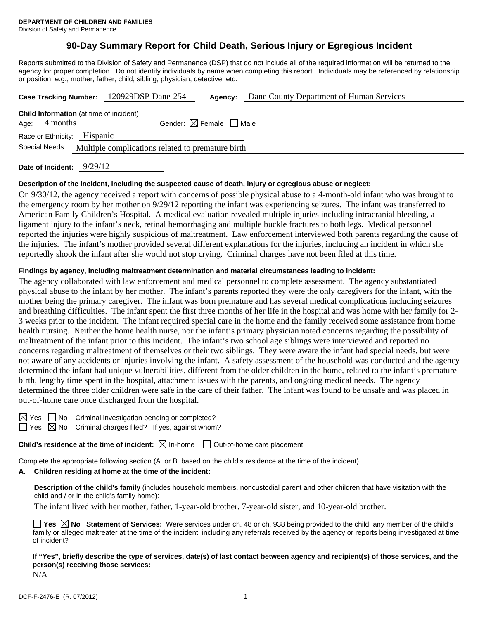# **90-Day Summary Report for Child Death, Serious Injury or Egregious Incident**

Reports submitted to the Division of Safety and Permanence (DSP) that do not include all of the required information will be returned to the agency for proper completion. Do not identify individuals by name when completing this report. Individuals may be referenced by relationship or position; e.g., mother, father, child, sibling, physician, detective, etc.

|                                                                     | Case Tracking Number: 120929DSP-Dane-254 | Agency: | Dane County Department of Human Services |  |  |  |
|---------------------------------------------------------------------|------------------------------------------|---------|------------------------------------------|--|--|--|
| <b>Child Information</b> (at time of incident)<br>Age: $4$ months   | Gender: $\boxtimes$ Female $\Box$ Male   |         |                                          |  |  |  |
| Race or Ethnicity: Hispanic                                         |                                          |         |                                          |  |  |  |
| Special Needs:<br>Multiple complications related to premature birth |                                          |         |                                          |  |  |  |
|                                                                     |                                          |         |                                          |  |  |  |

**Date of Incident:** 9/29/12

#### **Description of the incident, including the suspected cause of death, injury or egregious abuse or neglect:**

On 9/30/12, the agency received a report with concerns of possible physical abuse to a 4-month-old infant who was brought to the emergency room by her mother on 9/29/12 reporting the infant was experiencing seizures. The infant was transferred to American Family Children's Hospital. A medical evaluation revealed multiple injuries including intracranial bleeding, a ligament injury to the infant's neck, retinal hemorrhaging and multiple buckle fractures to both legs. Medical personnel reported the injuries were highly suspicious of maltreatment. Law enforcement interviewed both parents regarding the cause of the injuries. The infant's mother provided several different explanations for the injuries, including an incident in which she reportedly shook the infant after she would not stop crying. Criminal charges have not been filed at this time.

#### **Findings by agency, including maltreatment determination and material circumstances leading to incident:**

The agency collaborated with law enforcement and medical personnel to complete assessment. The agency substantiated physical abuse to the infant by her mother. The infant's parents reported they were the only caregivers for the infant, with the mother being the primary caregiver. The infant was born premature and has several medical complications including seizures and breathing difficulties. The infant spent the first three months of her life in the hospital and was home with her family for 2- 3 weeks prior to the incident. The infant required special care in the home and the family received some assistance from home health nursing. Neither the home health nurse, nor the infant's primary physician noted concerns regarding the possibility of maltreatment of the infant prior to this incident. The infant's two school age siblings were interviewed and reported no concerns regarding maltreatment of themselves or their two siblings. They were aware the infant had special needs, but were not aware of any accidents or injuries involving the infant. A safety assessment of the household was conducted and the agency determined the infant had unique vulnerabilities, different from the older children in the home, related to the infant's premature birth, lengthy time spent in the hospital, attachment issues with the parents, and ongoing medical needs. The agency determined the three older children were safe in the care of their father. The infant was found to be unsafe and was placed in out-of-home care once discharged from the hospital.

No Criminal investigation pending or completed? No Criminal charges filed? If yes, against whom?

**Child's residence at the time of incident:**  $\boxtimes$  In-home  $\Box$  Out-of-home care placement

Complete the appropriate following section (A. or B. based on the child's residence at the time of the incident).

## **A. Children residing at home at the time of the incident:**

**Description of the child's family** (includes household members, noncustodial parent and other children that have visitation with the child and / or in the child's family home):

The infant lived with her mother, father, 1-year-old brother, 7-year-old sister, and 10-year-old brother.

|              |  |  |  |  | <b>The SEX No</b> Statement of Services: Were services under ch. 48 or ch. 938 being provided to the child, any member of the child's          |  |
|--------------|--|--|--|--|------------------------------------------------------------------------------------------------------------------------------------------------|--|
|              |  |  |  |  | family or alleged maltreater at the time of the incident, including any referrals received by the agency or reports being investigated at time |  |
| of incident? |  |  |  |  |                                                                                                                                                |  |

**If "Yes", briefly describe the type of services, date(s) of last contact between agency and recipient(s) of those services, and the person(s) receiving those services:** 

N/A